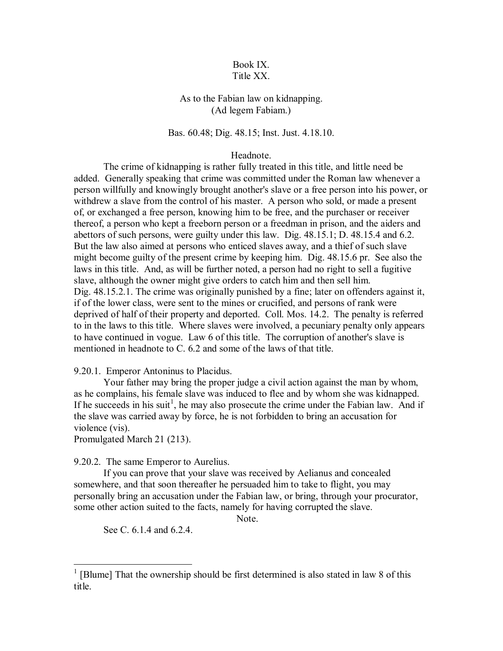## Book IX. Title XX.

# As to the Fabian law on kidnapping. (Ad legem Fabiam.)

### Bas. 60.48; Dig. 48.15; Inst. Just. 4.18.10.

#### Headnote.

 The crime of kidnapping is rather fully treated in this title, and little need be added. Generally speaking that crime was committed under the Roman law whenever a person willfully and knowingly brought another's slave or a free person into his power, or withdrew a slave from the control of his master. A person who sold, or made a present of, or exchanged a free person, knowing him to be free, and the purchaser or receiver thereof, a person who kept a freeborn person or a freedman in prison, and the aiders and abettors of such persons, were guilty under this law. Dig. 48.15.1; D. 48.15.4 and 6.2. But the law also aimed at persons who enticed slaves away, and a thief of such slave might become guilty of the present crime by keeping him. Dig. 48.15.6 pr. See also the laws in this title. And, as will be further noted, a person had no right to sell a fugitive slave, although the owner might give orders to catch him and then sell him. Dig. 48.15.2.1. The crime was originally punished by a fine; later on offenders against it, if of the lower class, were sent to the mines or crucified, and persons of rank were deprived of half of their property and deported. Coll. Mos. 14.2. The penalty is referred to in the laws to this title. Where slaves were involved, a pecuniary penalty only appears to have continued in vogue. Law 6 of this title. The corruption of another's slave is mentioned in headnote to C. 6.2 and some of the laws of that title.

### 9.20.1. Emperor Antoninus to Placidus.

 Your father may bring the proper judge a civil action against the man by whom, as he complains, his female slave was induced to flee and by whom she was kidnapped. If he succeeds in his suit<sup>1</sup>, he may also prosecute the crime under the Fabian law. And if the slave was carried away by force, he is not forbidden to bring an accusation for violence (vis).

Promulgated March 21 (213).

9.20.2. The same Emperor to Aurelius.

 If you can prove that your slave was received by Aelianus and concealed somewhere, and that soon thereafter he persuaded him to take to flight, you may personally bring an accusation under the Fabian law, or bring, through your procurator, some other action suited to the facts, namely for having corrupted the slave.

Note.

See C. 6.1.4 and 6.2.4.

 $\overline{a}$ 

 $1$ <sup>1</sup> [Blume] That the ownership should be first determined is also stated in law 8 of this title.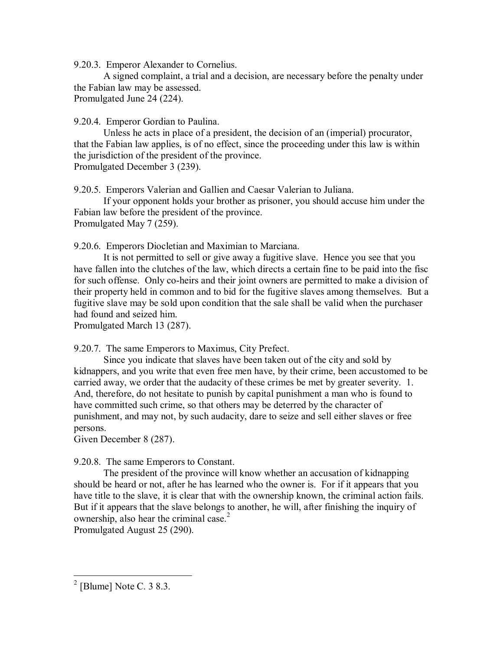9.20.3. Emperor Alexander to Cornelius.

 A signed complaint, a trial and a decision, are necessary before the penalty under the Fabian law may be assessed.

Promulgated June 24 (224).

9.20.4. Emperor Gordian to Paulina.

 Unless he acts in place of a president, the decision of an (imperial) procurator, that the Fabian law applies, is of no effect, since the proceeding under this law is within the jurisdiction of the president of the province.

Promulgated December 3 (239).

9.20.5. Emperors Valerian and Gallien and Caesar Valerian to Juliana.

 If your opponent holds your brother as prisoner, you should accuse him under the Fabian law before the president of the province. Promulgated May 7 (259).

9.20.6. Emperors Diocletian and Maximian to Marciana.

 It is not permitted to sell or give away a fugitive slave. Hence you see that you have fallen into the clutches of the law, which directs a certain fine to be paid into the fisc for such offense. Only co-heirs and their joint owners are permitted to make a division of their property held in common and to bid for the fugitive slaves among themselves. But a fugitive slave may be sold upon condition that the sale shall be valid when the purchaser had found and seized him.

Promulgated March 13 (287).

9.20.7. The same Emperors to Maximus, City Prefect.

 Since you indicate that slaves have been taken out of the city and sold by kidnappers, and you write that even free men have, by their crime, been accustomed to be carried away, we order that the audacity of these crimes be met by greater severity. 1. And, therefore, do not hesitate to punish by capital punishment a man who is found to have committed such crime, so that others may be deterred by the character of punishment, and may not, by such audacity, dare to seize and sell either slaves or free persons.

Given December 8 (287).

## 9.20.8. The same Emperors to Constant.

 The president of the province will know whether an accusation of kidnapping should be heard or not, after he has learned who the owner is. For if it appears that you have title to the slave, it is clear that with the ownership known, the criminal action fails. But if it appears that the slave belongs to another, he will, after finishing the inquiry of ownership, also hear the criminal case.<sup>2</sup>

Promulgated August 25 (290).

<sup>&</sup>lt;sup>2</sup> [Blume] Note C. 3 8.3.